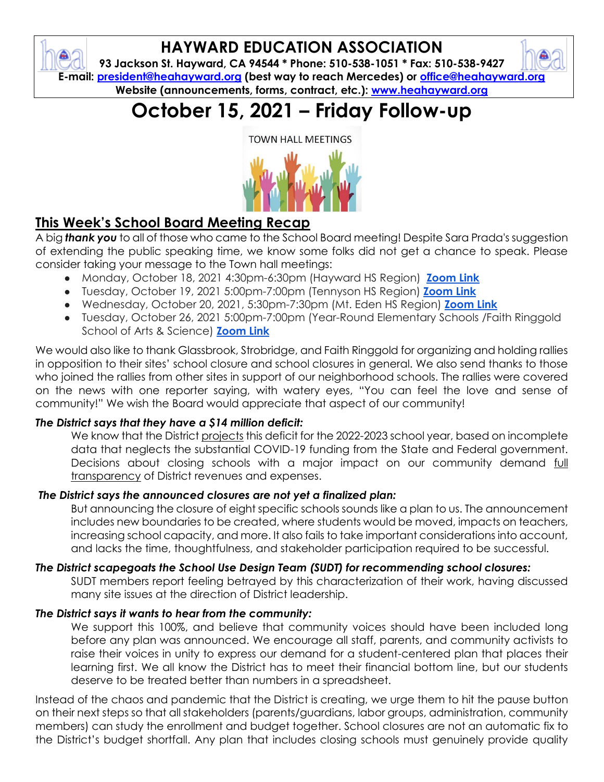

# **HAYWARD EDUCATION ASSOCIATION**

**93 Jackson St. Hayward, CA 94544 \* Phone: 510-538-1051 \* Fax: 510-538-9427 E-mail: [president@heahayward.org](mailto:president@heahayward.org) (best way to reach Mercedes) or [office@heahayward.org](mailto:office@heahayward.org) Website (announcements, forms, contract, etc.): [www.heahayward.org](http://www.heahayward.org/)**

# **October 15, 2021 – Friday Follow-up**

**TOWN HALL MEETINGS** 



## **This Week's School Board Meeting Recap**

A big *thank you* to all of those who came to the School Board meeting! Despite Sara Prada's suggestion of extending the public speaking time, we know some folks did not get a chance to speak. Please consider taking your message to the Town hall meetings:

- Monday, October 18, 2021 4:30pm-6:30pm (Hayward HS Region) **[Zoom Link](https://husd-us.zoom.us/j/92527075769?pwd=dm00dFJUM0dzOGhCK01GSjBoSEtQQT09)**
- Tuesday, October 19, 2021 5:00pm-7:00pm (Tennyson HS Region) **[Zoom Link](https://husd-us.zoom.us/j/93222580716?pwd=ZDBpRHdGZ2JrNVFSNFd1VVNETmlEQT09)**
- Wednesday, October 20, 2021, 5:30pm-7:30pm (Mt. Eden HS Region) **[Zoom Link](https://husd-us.zoom.us/j/93125858848?pwd=V1o3OE1yRkY4NHZrd1ViWDMwUlc2dz09)**
- Tuesday, October 26, 2021 5:00pm-7:00pm (Year-Round Elementary Schools /Faith Ringgold School of Arts & Science) **[Zoom Link](https://husd-us.zoom.us/j/92334136016?pwd=QlhoYzJGMWJRSzcxSVJSdXFsODR4QT09)**

We would also like to thank Glassbrook, Strobridge, and Faith Ringgold for organizing and holding rallies in opposition to their sites' school closure and school closures in general. We also send thanks to those who joined the rallies from other sites in support of our neighborhood schools. The rallies were covered on the news with one reporter saying, with watery eyes, "You can feel the love and sense of community!" We wish the Board would appreciate that aspect of our community!

#### *The District says that they have a \$14 million deficit:*

We know that the District projects this deficit for the 2022-2023 school year, based on incomplete data that neglects the substantial COVID-19 funding from the State and Federal government. Decisions about closing schools with a major impact on our community demand full transparency of District revenues and expenses.

#### *The District says the announced closures are not yet a finalized plan:*

But announcing the closure of eight specific schools sounds like a plan to us. The announcement includes new boundaries to be created, where students would be moved, impacts on teachers, increasing school capacity, and more. It also fails to take important considerations into account, and lacks the time, thoughtfulness, and stakeholder participation required to be successful.

#### *The District scapegoats the School Use Design Team (SUDT) for recommending school closures:*

SUDT members report feeling betrayed by this characterization of their work, having discussed many site issues at the direction of District leadership.

#### *The District says it wants to hear from the community:*

We support this 100%, and believe that community voices should have been included long before any plan was announced. We encourage all staff, parents, and community activists to raise their voices in unity to express our demand for a student-centered plan that places their learning first. We all know the District has to meet their financial bottom line, but our students deserve to be treated better than numbers in a spreadsheet.

Instead of the chaos and pandemic that the District is creating, we urge them to hit the pause button on their next steps so that all stakeholders (parents/guardians, labor groups, administration, community members) can study the enrollment and budget together. School closures are not an automatic fix to the District's budget shortfall. Any plan that includes closing schools must genuinely provide quality